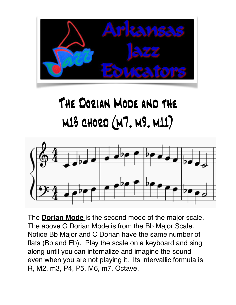

## The Dorian Mode and the m13 chord (m7, m9, m11)



The **Dorian Mode** is the second mode of the major scale. The above C Dorian Mode is from the Bb Major Scale. Notice Bb Major and C Dorian have the same number of flats (Bb and Eb). Play the scale on a keyboard and sing along until you can internalize and imagine the sound even when you are not playing it. Its intervallic formula is R, M2, m3, P4, P5, M6, m7, Octave.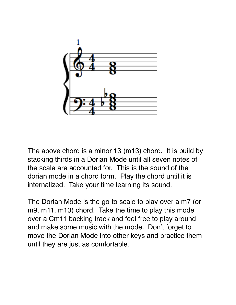

The above chord is a minor 13 (m13) chord. It is build by stacking thirds in a Dorian Mode until all seven notes of the scale are accounted for. This is the sound of the dorian mode in a chord form. Play the chord until it is internalized. Take your time learning its sound.

The Dorian Mode is the go-to scale to play over a m7 (or m9, m11, m13) chord. Take the time to play this mode over a Cm11 backing track and feel free to play around and make some music with the mode. Don't forget to move the Dorian Mode into other keys and practice them until they are just as comfortable.